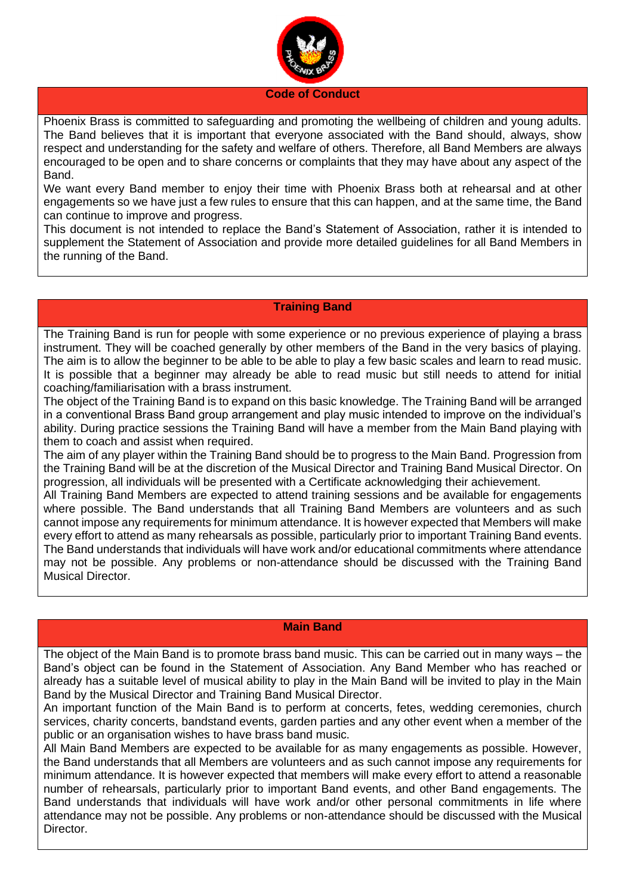

#### **Code of Conduct**

Phoenix Brass is committed to safeguarding and promoting the wellbeing of children and young adults. The Band believes that it is important that everyone associated with the Band should, always, show respect and understanding for the safety and welfare of others. Therefore, all Band Members are always encouraged to be open and to share concerns or complaints that they may have about any aspect of the Band.

We want every Band member to enjoy their time with Phoenix Brass both at rehearsal and at other engagements so we have just a few rules to ensure that this can happen, and at the same time, the Band can continue to improve and progress.

This document is not intended to replace the Band's Statement of Association, rather it is intended to supplement the Statement of Association and provide more detailed guidelines for all Band Members in the running of the Band.

## **Training Band**

The Training Band is run for people with some experience or no previous experience of playing a brass instrument. They will be coached generally by other members of the Band in the very basics of playing. The aim is to allow the beginner to be able to be able to play a few basic scales and learn to read music. It is possible that a beginner may already be able to read music but still needs to attend for initial coaching/familiarisation with a brass instrument.

The object of the Training Band is to expand on this basic knowledge. The Training Band will be arranged in a conventional Brass Band group arrangement and play music intended to improve on the individual's ability. During practice sessions the Training Band will have a member from the Main Band playing with them to coach and assist when required.

The aim of any player within the Training Band should be to progress to the Main Band. Progression from the Training Band will be at the discretion of the Musical Director and Training Band Musical Director. On progression, all individuals will be presented with a Certificate acknowledging their achievement.

All Training Band Members are expected to attend training sessions and be available for engagements where possible. The Band understands that all Training Band Members are volunteers and as such cannot impose any requirements for minimum attendance. It is however expected that Members will make every effort to attend as many rehearsals as possible, particularly prior to important Training Band events. The Band understands that individuals will have work and/or educational commitments where attendance may not be possible. Any problems or non-attendance should be discussed with the Training Band Musical Director.

#### **Main Band**

The object of the Main Band is to promote brass band music. This can be carried out in many ways – the Band's object can be found in the Statement of Association. Any Band Member who has reached or already has a suitable level of musical ability to play in the Main Band will be invited to play in the Main Band by the Musical Director and Training Band Musical Director.

An important function of the Main Band is to perform at concerts, fetes, wedding ceremonies, church services, charity concerts, bandstand events, garden parties and any other event when a member of the public or an organisation wishes to have brass band music.

All Main Band Members are expected to be available for as many engagements as possible. However, the Band understands that all Members are volunteers and as such cannot impose any requirements for minimum attendance. It is however expected that members will make every effort to attend a reasonable number of rehearsals, particularly prior to important Band events, and other Band engagements. The Band understands that individuals will have work and/or other personal commitments in life where attendance may not be possible. Any problems or non-attendance should be discussed with the Musical Director.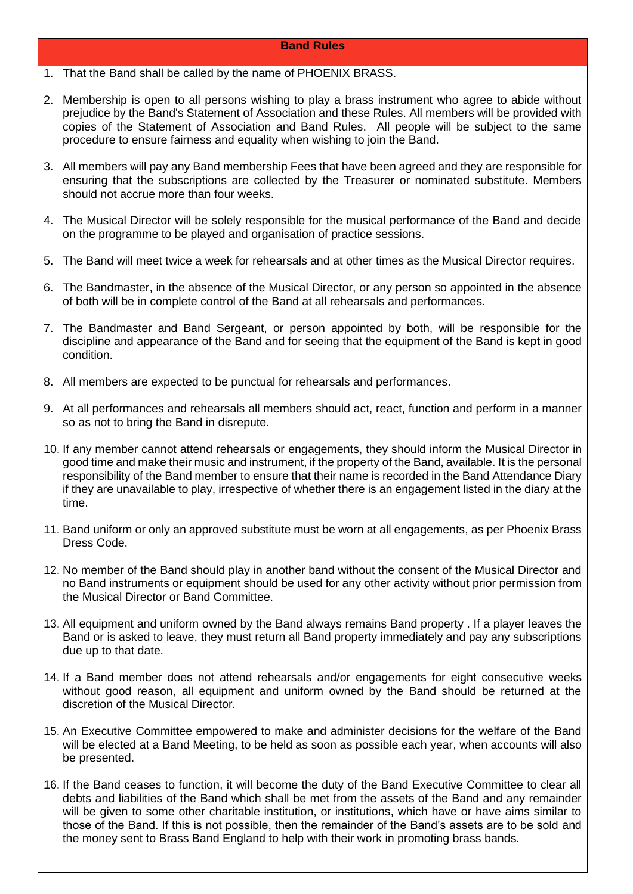## **Band Rules**

- 1. That the Band shall be called by the name of PHOENIX BRASS.
- 2. Membership is open to all persons wishing to play a brass instrument who agree to abide without prejudice by the Band's Statement of Association and these Rules. All members will be provided with copies of the Statement of Association and Band Rules. All people will be subject to the same procedure to ensure fairness and equality when wishing to join the Band.
- 3. All members will pay any Band membership Fees that have been agreed and they are responsible for ensuring that the subscriptions are collected by the Treasurer or nominated substitute. Members should not accrue more than four weeks.
- 4. The Musical Director will be solely responsible for the musical performance of the Band and decide on the programme to be played and organisation of practice sessions.
- 5. The Band will meet twice a week for rehearsals and at other times as the Musical Director requires.
- 6. The Bandmaster, in the absence of the Musical Director, or any person so appointed in the absence of both will be in complete control of the Band at all rehearsals and performances.
- 7. The Bandmaster and Band Sergeant, or person appointed by both, will be responsible for the discipline and appearance of the Band and for seeing that the equipment of the Band is kept in good condition.
- 8. All members are expected to be punctual for rehearsals and performances.
- 9. At all performances and rehearsals all members should act, react, function and perform in a manner so as not to bring the Band in disrepute.
- 10. If any member cannot attend rehearsals or engagements, they should inform the Musical Director in good time and make their music and instrument, if the property of the Band, available. It is the personal responsibility of the Band member to ensure that their name is recorded in the Band Attendance Diary if they are unavailable to play, irrespective of whether there is an engagement listed in the diary at the time.
- 11. Band uniform or only an approved substitute must be worn at all engagements, as per Phoenix Brass Dress Code.
- 12. No member of the Band should play in another band without the consent of the Musical Director and no Band instruments or equipment should be used for any other activity without prior permission from the Musical Director or Band Committee.
- 13. All equipment and uniform owned by the Band always remains Band property . If a player leaves the Band or is asked to leave, they must return all Band property immediately and pay any subscriptions due up to that date.
- 14. If a Band member does not attend rehearsals and/or engagements for eight consecutive weeks without good reason, all equipment and uniform owned by the Band should be returned at the discretion of the Musical Director.
- 15. An Executive Committee empowered to make and administer decisions for the welfare of the Band will be elected at a Band Meeting, to be held as soon as possible each year, when accounts will also be presented.
- 16. If the Band ceases to function, it will become the duty of the Band Executive Committee to clear all debts and liabilities of the Band which shall be met from the assets of the Band and any remainder will be given to some other charitable institution, or institutions, which have or have aims similar to those of the Band. If this is not possible, then the remainder of the Band's assets are to be sold and the money sent to Brass Band England to help with their work in promoting brass bands.